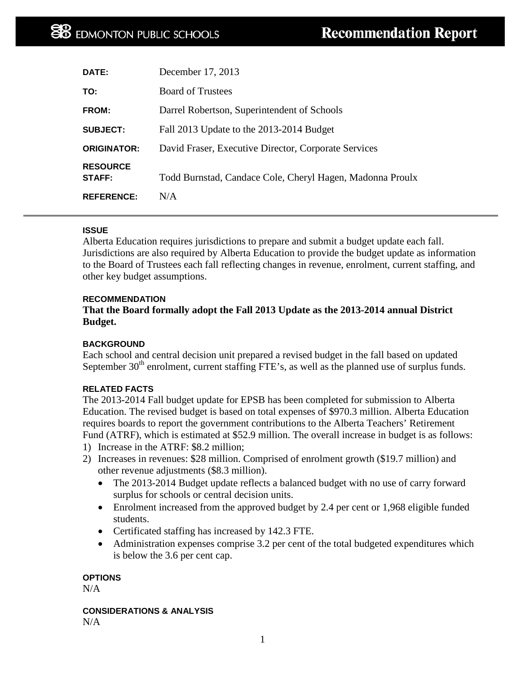| DATE:                            | December 17, 2013                                         |
|----------------------------------|-----------------------------------------------------------|
| TO:                              | <b>Board of Trustees</b>                                  |
| FROM:                            | Darrel Robertson, Superintendent of Schools               |
| <b>SUBJECT:</b>                  | Fall 2013 Update to the 2013-2014 Budget                  |
| <b>ORIGINATOR:</b>               | David Fraser, Executive Director, Corporate Services      |
| <b>RESOURCE</b><br><b>STAFF:</b> | Todd Burnstad, Candace Cole, Cheryl Hagen, Madonna Proulx |
| <b>REFERENCE:</b>                | N/A                                                       |
|                                  |                                                           |

# **ISSUE**

Alberta Education requires jurisdictions to prepare and submit a budget update each fall. Jurisdictions are also required by Alberta Education to provide the budget update as information to the Board of Trustees each fall reflecting changes in revenue, enrolment, current staffing, and other key budget assumptions.

# **RECOMMENDATION**

# **That the Board formally adopt the Fall 2013 Update as the 2013-2014 annual District Budget.**

# **BACKGROUND**

Each school and central decision unit prepared a revised budget in the fall based on updated September  $30<sup>th</sup>$  enrolment, current staffing FTE's, as well as the planned use of surplus funds.

# **RELATED FACTS**

The 2013-2014 Fall budget update for EPSB has been completed for submission to Alberta Education. The revised budget is based on total expenses of \$970.3 million. Alberta Education requires boards to report the government contributions to the Alberta Teachers' Retirement Fund (ATRF), which is estimated at \$52.9 million. The overall increase in budget is as follows:

- 1) Increase in the ATRF: \$8.2 million;
- 2) Increases in revenues: \$28 million. Comprised of enrolment growth (\$19.7 million) and other revenue adjustments (\$8.3 million).
	- The 2013-2014 Budget update reflects a balanced budget with no use of carry forward surplus for schools or central decision units.
	- Enrolment increased from the approved budget by 2.4 per cent or 1,968 eligible funded students.
	- Certificated staffing has increased by 142.3 FTE.
	- Administration expenses comprise 3.2 per cent of the total budgeted expenditures which is below the 3.6 per cent cap.

# **OPTIONS**

N/A

**CONSIDERATIONS & ANALYSIS** N/A

1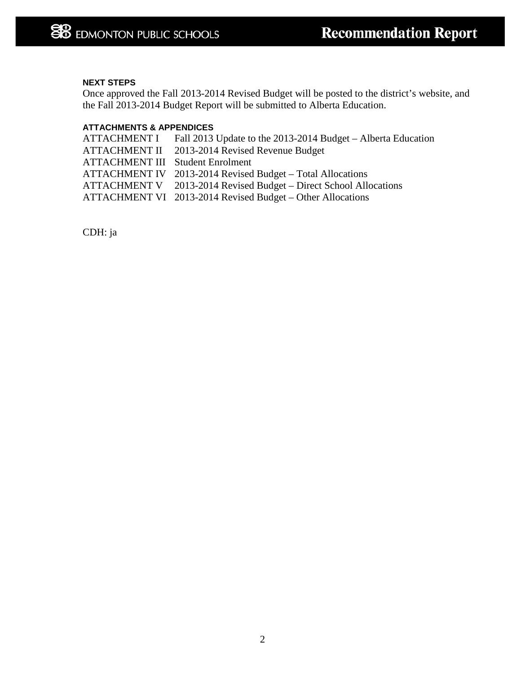# **NEXT STEPS**

Once approved the Fall 2013-2014 Revised Budget will be posted to the district's website, and the Fall 2013-2014 Budget Report will be submitted to Alberta Education.

# **ATTACHMENTS & APPENDICES**

ATTACHMENT I Fall 2013 Update to the 2013-2014 Budget - Alberta Education ATTACHMENT II 2013-2014 Revised Revenue Budget ATTACHMENT III Student Enrolment ATTACHMENT IV 2013-2014 Revised Budget – Total Allocations ATTACHMENT V 2013-2014 Revised Budget – Direct School Allocations ATTACHMENT VI 2013-2014 Revised Budget – Other Allocations

CDH: ja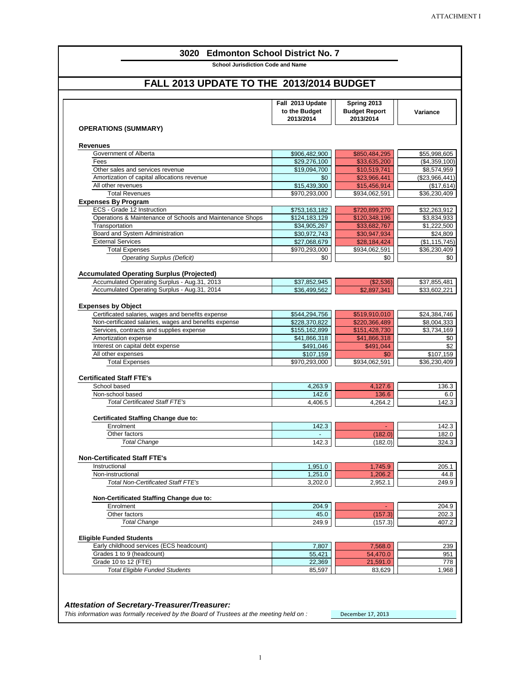| 3020 Edmonton School District No. 7                                                                                                              |                                                |                                                  |                              |
|--------------------------------------------------------------------------------------------------------------------------------------------------|------------------------------------------------|--------------------------------------------------|------------------------------|
| <b>School Jurisdiction Code and Name</b>                                                                                                         |                                                |                                                  |                              |
| FALL 2013 UPDATE TO THE 2013/2014 BUDGET                                                                                                         |                                                |                                                  |                              |
|                                                                                                                                                  |                                                |                                                  |                              |
|                                                                                                                                                  | Fall 2013 Update<br>to the Budget<br>2013/2014 | Spring 2013<br><b>Budget Report</b><br>2013/2014 | Variance                     |
| <b>OPERATIONS (SUMMARY)</b>                                                                                                                      |                                                |                                                  |                              |
| <b>Revenues</b>                                                                                                                                  |                                                |                                                  |                              |
| Government of Alberta                                                                                                                            | \$906,482,900                                  | \$850,484,295                                    | \$55,998,605                 |
| Fees                                                                                                                                             | \$29,276,100                                   | \$33,635,200                                     | (\$4,359,100)                |
| Other sales and services revenue                                                                                                                 | \$19,094,700                                   | \$10,519,741                                     | \$8,574,959                  |
| Amortization of capital allocations revenue                                                                                                      | \$0                                            | \$23,966,441                                     | (\$23,966,441)               |
| All other revenues                                                                                                                               | \$15,439,300                                   | \$15,456,914                                     | (\$17,614)                   |
| <b>Total Revenues</b>                                                                                                                            | \$970,293,000                                  | \$934,062,591                                    | \$36,230,409                 |
| <b>Expenses By Program</b>                                                                                                                       |                                                |                                                  |                              |
| ECS - Grade 12 Instruction                                                                                                                       | \$753,163,182                                  | \$720,899,270                                    | \$32,263,912                 |
| Operations & Maintenance of Schools and Maintenance Shops                                                                                        | \$124,183,129                                  | \$120,348,196                                    | \$3,834,933                  |
| Transportation                                                                                                                                   | \$34,905,267                                   | \$33,682,767                                     | \$1,222,500                  |
| Board and System Administration                                                                                                                  | \$30,972,743                                   | \$30,947,934                                     | \$24,809                     |
| <b>External Services</b>                                                                                                                         | \$27,068,679                                   | \$28,184,424                                     | (\$1, 115, 745)              |
| <b>Total Expenses</b>                                                                                                                            | \$970,293,000                                  | \$934,062,591                                    | \$36,230,409                 |
| <b>Operating Surplus (Deficit)</b>                                                                                                               | \$0                                            | \$0                                              |                              |
| <b>Accumulated Operating Surplus (Projected)</b><br>Accumulated Operating Surplus - Aug.31, 2013<br>Accumulated Operating Surplus - Aug.31, 2014 | \$37,852,945<br>\$36,499,562                   | (\$2,536)<br>\$2,897,341                         | \$37,855,481<br>\$33,602,221 |
|                                                                                                                                                  |                                                |                                                  |                              |
| <b>Expenses by Object</b>                                                                                                                        |                                                |                                                  |                              |
| Certificated salaries, wages and benefits expense                                                                                                | \$544,294,756                                  | \$519,910,010                                    | \$24,384,746                 |
| Non-certificated salaries, wages and benefits expense                                                                                            | \$228,370,822                                  | \$220,366,489                                    | \$8,004,333                  |
| Services, contracts and supplies expense                                                                                                         | \$155,162,899                                  | \$151,428,730                                    | \$3,734,169                  |
| Amortization expense                                                                                                                             | \$41,866,318                                   | \$41,866,318                                     |                              |
| Interest on capital debt expense                                                                                                                 | \$491,046                                      | \$491,044                                        |                              |
| All other expenses                                                                                                                               | \$107,159                                      | \$0                                              | \$107,159                    |
| <b>Total Expenses</b>                                                                                                                            | \$970,293,000                                  | \$934,062,591                                    | \$36,230,409                 |
| <b>Certificated Staff FTE's</b>                                                                                                                  |                                                |                                                  |                              |
| School based                                                                                                                                     | 4,263.9                                        | 4,127.6                                          | 136.3                        |
| Non-school based                                                                                                                                 | 142.6                                          | 136.6                                            |                              |
| <b>Total Certificated Staff FTE's</b>                                                                                                            | 4,406.5                                        | 4,264.2                                          | 142.3                        |
| <b>Certificated Staffing Change due to:</b>                                                                                                      |                                                |                                                  |                              |
| Enrolment                                                                                                                                        | 142.3                                          |                                                  | 142.3                        |
| Other factors                                                                                                                                    |                                                | (182.0)                                          | 182.0                        |
| <b>Total Change</b>                                                                                                                              | 142.3                                          | (182.0)                                          | 324.3                        |
| <b>Non-Certificated Staff FTE's</b>                                                                                                              |                                                |                                                  |                              |
| Instructional                                                                                                                                    | 1,951.0                                        | 1,745.9                                          | 205.1                        |
| Non-instructional                                                                                                                                | 1,251.0                                        | 1,206.2                                          | 44.8                         |
| <b>Total Non-Certificated Staff FTE's</b>                                                                                                        |                                                | 2,952.1                                          | 249.9                        |

| Enrolment                                                                               | 204.9             |          | 204.9 |
|-----------------------------------------------------------------------------------------|-------------------|----------|-------|
| Other factors                                                                           | 45.0              | (157.3)  | 202.3 |
| <b>Total Change</b>                                                                     | 249.9             | (157.3)  | 407.2 |
| <b>Eligible Funded Students</b>                                                         |                   |          |       |
| Early childhood services (ECS headcount)                                                | 7,807             | 7,568.0  | 239   |
| Grades 1 to 9 (headcount)                                                               | 55,421            | 54,470.0 | 951   |
| Grade 10 to 12 (FTE)                                                                    | 22,369            | 21,591.0 | 778   |
| <b>Total Eligible Funded Students</b>                                                   | 85,597            | 83,629   | 1,968 |
|                                                                                         |                   |          |       |
| <b>Attestation of Secretary-Treasurer/Treasurer:</b>                                    |                   |          |       |
| This information was formally received by the Board of Trustees at the meeting held on: | December 17, 2013 |          |       |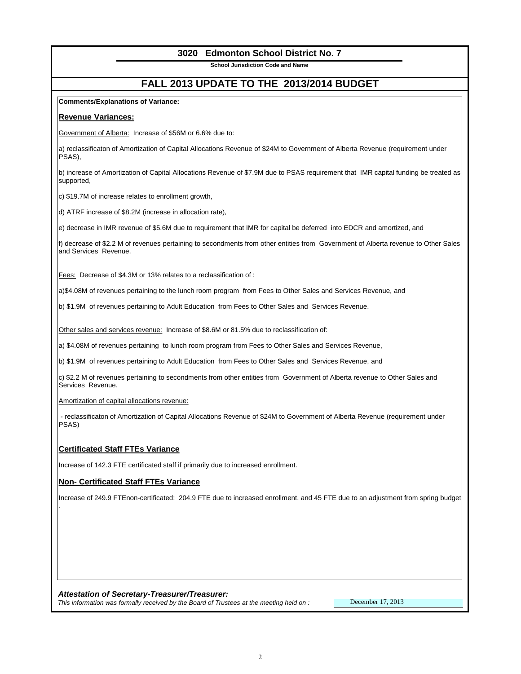# *Attestation of Secretary-Treasurer/Treasurer:*

*This information was formally received by the Board of Trustees at the meeting held on :* 

# **3020 Edmonton School District No. 7**

**School Jurisdiction Code and Name** 

# **FALL 2013 UPDATE TO THE 2013/2014 BUDGET**

# **Comments/Explanations of Variance:**

# **Revenue Variances:**

Government of Alberta: Increase of \$56M or 6.6% due to:

a) reclassificaton of Amortization of Capital Allocations Revenue of \$24M to Government of Alberta Revenue (requirement under PSAS),

b) increase of Amortization of Capital Allocations Revenue of \$7.9M due to PSAS requirement that IMR capital funding be treated as supported,

c) \$19.7M of increase relates to enrollment growth,

d) ATRF increase of \$8.2M (increase in allocation rate),

e) decrease in IMR revenue of \$5.6M due to requirement that IMR for capital be deferred into EDCR and amortized, and

f) decrease of \$2.2 M of revenues pertaining to secondments from other entities from Government of Alberta revenue to Other Sales and Services Revenue.

Fees: Decrease of \$4.3M or 13% relates to a reclassification of :

a)\$4.08M of revenues pertaining to the lunch room program from Fees to Other Sales and Services Revenue, and

b) \$1.9M of revenues pertaining to Adult Education from Fees to Other Sales and Services Revenue.

Other sales and services revenue: Increase of \$8.6M or 81.5% due to reclassification of:

a) \$4.08M of revenues pertaining to lunch room program from Fees to Other Sales and Services Revenue,

b) \$1.9M of revenues pertaining to Adult Education from Fees to Other Sales and Services Revenue, and

c) \$2.2 M of revenues pertaining to secondments from other entities from Government of Alberta revenue to Other Sales and Services Revenue.

# Amortization of capital allocations revenue:

 - reclassificaton of Amortization of Capital Allocations Revenue of \$24M to Government of Alberta Revenue (requirement under PSAS)

# **Certificated Staff FTEs Variance**

Increase of 142.3 FTE certificated staff if primarily due to increased enrollment.

# **Non- Certificated Staff FTEs Variance**

Increase of 249.9 FTEnon-certificated: 204.9 FTE due to increased enrollment, and 45 FTE due to an adjustment from spring budget

.

December 17, 2013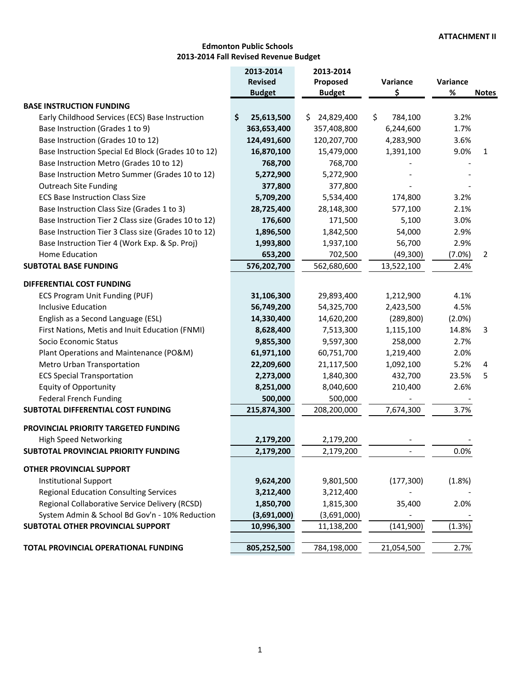# **Edmonton Public Schools 2013‐2014 Fall Revised Revenue Budget**

|                                                      | 2013-2014<br><b>Revised</b><br><b>Budget</b> | 2013-2014<br>Proposed<br><b>Budget</b> | Variance<br>Ś | Variance<br>$\%$ | <b>Notes</b> |
|------------------------------------------------------|----------------------------------------------|----------------------------------------|---------------|------------------|--------------|
| <b>BASE INSTRUCTION FUNDING</b>                      |                                              |                                        |               |                  |              |
| Early Childhood Services (ECS) Base Instruction      | \$<br>25,613,500                             | 24,829,400<br>S.                       | \$<br>784,100 | 3.2%             |              |
| Base Instruction (Grades 1 to 9)                     | 363,653,400                                  | 357,408,800                            | 6,244,600     | 1.7%             |              |
| Base Instruction (Grades 10 to 12)                   | 124,491,600                                  | 120,207,700                            | 4,283,900     | 3.6%             |              |
| Base Instruction Special Ed Block (Grades 10 to 12)  | 16,870,100                                   | 15,479,000                             | 1,391,100     | 9.0%             | 1            |
| Base Instruction Metro (Grades 10 to 12)             | 768,700                                      | 768,700                                |               |                  |              |
| Base Instruction Metro Summer (Grades 10 to 12)      | 5,272,900                                    | 5,272,900                              |               |                  |              |
| <b>Outreach Site Funding</b>                         | 377,800                                      | 377,800                                |               |                  |              |
| <b>ECS Base Instruction Class Size</b>               | 5,709,200                                    | 5,534,400                              | 174,800       | 3.2%             |              |
| Base Instruction Class Size (Grades 1 to 3)          | 28,725,400                                   | 28,148,300                             | 577,100       | 2.1%             |              |
| Base Instruction Tier 2 Class size (Grades 10 to 12) | 176,600                                      | 171,500                                | 5,100         | 3.0%             |              |
| Base Instruction Tier 3 Class size (Grades 10 to 12) | 1,896,500                                    | 1,842,500                              | 54,000        | 2.9%             |              |
| Base Instruction Tier 4 (Work Exp. & Sp. Proj)       | 1,993,800                                    | 1,937,100                              | 56,700        | 2.9%             |              |
| <b>Home Education</b>                                | 653,200                                      | 702,500                                | (49, 300)     | (7.0%)           | 2            |
| <b>SUBTOTAL BASE FUNDING</b>                         | 576,202,700                                  | 562,680,600                            | 13,522,100    | 2.4%             |              |
| DIFFERENTIAL COST FUNDING                            |                                              |                                        |               |                  |              |
| <b>ECS Program Unit Funding (PUF)</b>                | 31,106,300                                   | 29,893,400                             | 1,212,900     | 4.1%             |              |
| <b>Inclusive Education</b>                           | 56,749,200                                   | 54,325,700                             | 2,423,500     | 4.5%             |              |
| English as a Second Language (ESL)                   | 14,330,400                                   | 14,620,200                             | (289, 800)    | (2.0%)           |              |
| First Nations, Metis and Inuit Education (FNMI)      | 8,628,400                                    | 7,513,300                              | 1,115,100     | 14.8%            | 3            |
| Socio Economic Status                                | 9,855,300                                    | 9,597,300                              | 258,000       | 2.7%             |              |
| Plant Operations and Maintenance (PO&M)              | 61,971,100                                   | 60,751,700                             | 1,219,400     | 2.0%             |              |
| Metro Urban Transportation                           | 22,209,600                                   | 21,117,500                             | 1,092,100     | 5.2%             | 4            |
| <b>ECS Special Transportation</b>                    | 2,273,000                                    | 1,840,300                              | 432,700       | 23.5%            | 5            |
| <b>Equity of Opportunity</b>                         | 8,251,000                                    | 8,040,600                              | 210,400       | 2.6%             |              |
| <b>Federal French Funding</b>                        | 500,000                                      | 500,000                                |               |                  |              |
| SUBTOTAL DIFFERENTIAL COST FUNDING                   | 215,874,300                                  | 208,200,000                            | 7,674,300     | 3.7%             |              |
| PROVINCIAL PRIORITY TARGETED FUNDING                 |                                              |                                        |               |                  |              |
| <b>High Speed Networking</b>                         | 2,179,200                                    | 2,179,200                              |               |                  |              |
| SUBTOTAL PROVINCIAL PRIORITY FUNDING                 | 2,179,200                                    | 2,179,200                              |               | 0.0%             |              |
| OTHER PROVINCIAL SUPPORT                             |                                              |                                        |               |                  |              |
| <b>Institutional Support</b>                         | 9,624,200                                    | 9,801,500                              | (177, 300)    | (1.8%)           |              |
| <b>Regional Education Consulting Services</b>        | 3,212,400                                    | 3,212,400                              |               |                  |              |
| Regional Collaborative Service Delivery (RCSD)       | 1,850,700                                    | 1,815,300                              | 35,400        | 2.0%             |              |
| System Admin & School Bd Gov'n - 10% Reduction       | (3,691,000)                                  | (3,691,000)                            |               |                  |              |
| SUBTOTAL OTHER PROVINCIAL SUPPORT                    | 10,996,300                                   | 11,138,200                             | (141,900)     | (1.3%)           |              |
|                                                      |                                              |                                        |               |                  |              |
| TOTAL PROVINCIAL OPERATIONAL FUNDING                 | 805,252,500                                  | 784,198,000                            | 21,054,500    | 2.7%             |              |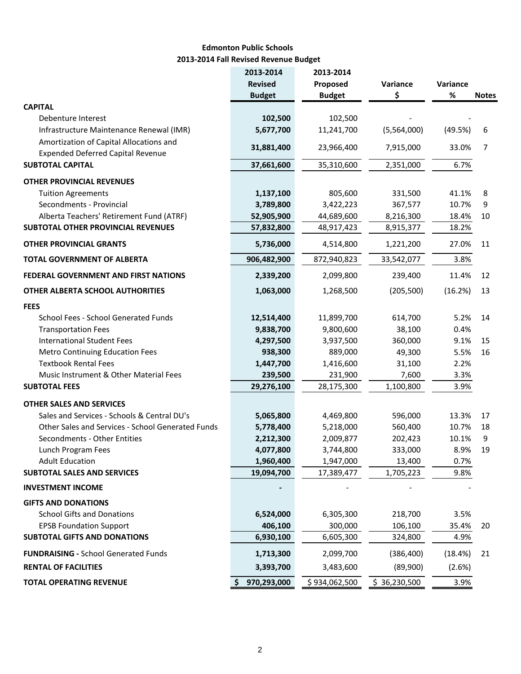# **Edmonton Public Schools 2013‐2014 Fall Revised Revenue Budget**

|                                                   | 2013-2014         | 2013-2014     |              |          |              |
|---------------------------------------------------|-------------------|---------------|--------------|----------|--------------|
|                                                   | <b>Revised</b>    | Proposed      | Variance     | Variance |              |
|                                                   | <b>Budget</b>     | <b>Budget</b> | \$           | $\%$     | <b>Notes</b> |
| <b>CAPITAL</b>                                    |                   |               |              |          |              |
| Debenture Interest                                | 102,500           | 102,500       |              |          |              |
| Infrastructure Maintenance Renewal (IMR)          | 5,677,700         | 11,241,700    | (5,564,000)  | (49.5%)  | 6            |
| Amortization of Capital Allocations and           | 31,881,400        | 23,966,400    | 7,915,000    | 33.0%    | 7            |
| <b>Expended Deferred Capital Revenue</b>          |                   |               |              |          |              |
| <b>SUBTOTAL CAPITAL</b>                           | 37,661,600        | 35,310,600    | 2,351,000    | 6.7%     |              |
| <b>OTHER PROVINCIAL REVENUES</b>                  |                   |               |              |          |              |
| <b>Tuition Agreements</b>                         | 1,137,100         | 805,600       | 331,500      | 41.1%    | 8            |
| Secondments - Provincial                          | 3,789,800         | 3,422,223     | 367,577      | 10.7%    | 9            |
| Alberta Teachers' Retirement Fund (ATRF)          | 52,905,900        | 44,689,600    | 8,216,300    | 18.4%    | 10           |
| SUBTOTAL OTHER PROVINCIAL REVENUES                | 57,832,800        | 48,917,423    | 8,915,377    | 18.2%    |              |
| <b>OTHER PROVINCIAL GRANTS</b>                    | 5,736,000         | 4,514,800     | 1,221,200    | 27.0%    | 11           |
| <b>TOTAL GOVERNMENT OF ALBERTA</b>                | 906,482,900       | 872,940,823   | 33,542,077   | 3.8%     |              |
| <b>FEDERAL GOVERNMENT AND FIRST NATIONS</b>       | 2,339,200         | 2,099,800     | 239,400      | 11.4%    | 12           |
| OTHER ALBERTA SCHOOL AUTHORITIES                  | 1,063,000         | 1,268,500     | (205, 500)   | (16.2%)  | 13           |
| <b>FEES</b>                                       |                   |               |              |          |              |
| School Fees - School Generated Funds              | 12,514,400        | 11,899,700    | 614,700      | 5.2%     | 14           |
| <b>Transportation Fees</b>                        | 9,838,700         | 9,800,600     | 38,100       | 0.4%     |              |
| <b>International Student Fees</b>                 | 4,297,500         | 3,937,500     | 360,000      | 9.1%     | 15           |
| <b>Metro Continuing Education Fees</b>            | 938,300           | 889,000       | 49,300       | 5.5%     | 16           |
| <b>Textbook Rental Fees</b>                       | 1,447,700         | 1,416,600     | 31,100       | 2.2%     |              |
| Music Instrument & Other Material Fees            | 239,500           | 231,900       | 7,600        | 3.3%     |              |
| <b>SUBTOTAL FEES</b>                              | 29,276,100        | 28,175,300    | 1,100,800    | 3.9%     |              |
| <b>OTHER SALES AND SERVICES</b>                   |                   |               |              |          |              |
| Sales and Services - Schools & Central DU's       | 5,065,800         | 4,469,800     | 596,000      | 13.3%    | 17           |
| Other Sales and Services - School Generated Funds | 5,778,400         | 5,218,000     | 560,400      | 10.7%    | 18           |
| Secondments - Other Entities                      | 2,212,300         | 2,009,877     | 202,423      | 10.1%    | 9            |
| Lunch Program Fees                                | 4,077,800         | 3,744,800     | 333,000      | 8.9%     | 19           |
| <b>Adult Education</b>                            | 1,960,400         | 1,947,000     | 13,400       | 0.7%     |              |
| <b>SUBTOTAL SALES AND SERVICES</b>                | 19,094,700        | 17,389,477    | 1,705,223    | 9.8%     |              |
| <b>INVESTMENT INCOME</b>                          |                   |               |              |          |              |
| <b>GIFTS AND DONATIONS</b>                        |                   |               |              |          |              |
| <b>School Gifts and Donations</b>                 | 6,524,000         | 6,305,300     | 218,700      | 3.5%     |              |
| <b>EPSB Foundation Support</b>                    | 406,100           | 300,000       | 106,100      | 35.4%    | 20           |
| <b>SUBTOTAL GIFTS AND DONATIONS</b>               | 6,930,100         | 6,605,300     | 324,800      | 4.9%     |              |
| <b>FUNDRAISING - School Generated Funds</b>       | 1,713,300         | 2,099,700     | (386, 400)   | (18.4%)  | 21           |
| <b>RENTAL OF FACILITIES</b>                       | 3,393,700         | 3,483,600     | (89,900)     | (2.6%)   |              |
| <b>TOTAL OPERATING REVENUE</b>                    | 970,293,000<br>\$ | \$934,062,500 | \$36,230,500 | 3.9%     |              |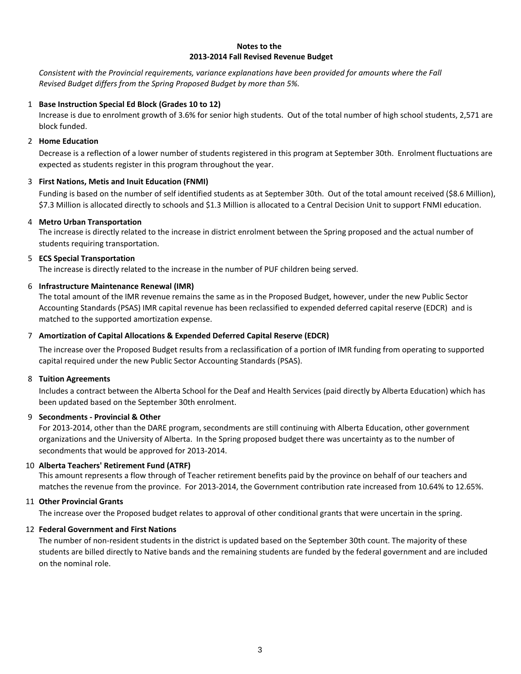#### **Notes to the 2013‐2014 Fall Revised Revenue Budget**

*Consistent with the Provincial requirements, variance explanations have been provided for amounts where the Fall Revised Budget differs from the Spring Proposed Budget by more than 5%.*

# 1 **Base Instruction Special Ed Block (Grades 10 to 12)**

Increase is due to enrolment growth of 3.6% for senior high students. Out of the total number of high school students, 2,571 are block funded.

# 2 **Home Education**

Decrease is a reflection of a lower number of students registered in this program at September 30th. Enrolment fluctuations are expected as students register in this program throughout the year.

# 3 **First Nations, Metis and Inuit Education (FNMI)**

Funding is based on the number of self identified students as at September 30th. Out of the total amount received (\$8.6 Million), \$7.3 Million is allocated directly to schools and \$1.3 Million is allocated to a Central Decision Unit to support FNMI education.

# 4 **Metro Urban Transportation**

The increase is directly related to the increase in district enrolment between the Spring proposed and the actual number of students requiring transportation.

# 5 **ECS Special Transportation**

The increase is directly related to the increase in the number of PUF children being served.

# 6 **Infrastructure Maintenance Renewal (IMR)**

The total amount of the IMR revenue remains the same as in the Proposed Budget, however, under the new Public Sector Accounting Standards (PSAS) IMR capital revenue has been reclassified to expended deferred capital reserve (EDCR) and is matched to the supported amortization expense.

# 7 **Amortization of Capital Allocations & Expended Deferred Capital Reserve (EDCR)**

The increase over the Proposed Budget results from a reclassification of a portion of IMR funding from operating to supported capital required under the new Public Sector Accounting Standards (PSAS).

#### 8 **Tuition Agreements**

Includes a contract between the Alberta School for the Deaf and Health Services (paid directly by Alberta Education) which has been updated based on the September 30th enrolment.

#### 9 **Secondments ‐ Provincial & Other**

For 2013‐2014, other than the DARE program, secondments are still continuing with Alberta Education, other government organizations and the University of Alberta. In the Spring proposed budget there was uncertainty as to the number of secondments that would be approved for 2013‐2014.

# 10 **Alberta Teachers' Retirement Fund (ATRF)**

This amount represents a flow through of Teacher retirement benefits paid by the province on behalf of our teachers and matches the revenue from the province. For 2013‐2014, the Government contribution rate increased from 10.64% to 12.65%.

# 11 **Other Provincial Grants**

The increase over the Proposed budget relates to approval of other conditional grants that were uncertain in the spring.

#### 12 **Federal Government and First Nations**

The number of non-resident students in the district is updated based on the September 30th count. The majority of these students are billed directly to Native bands and the remaining students are funded by the federal government and are included on the nominal role.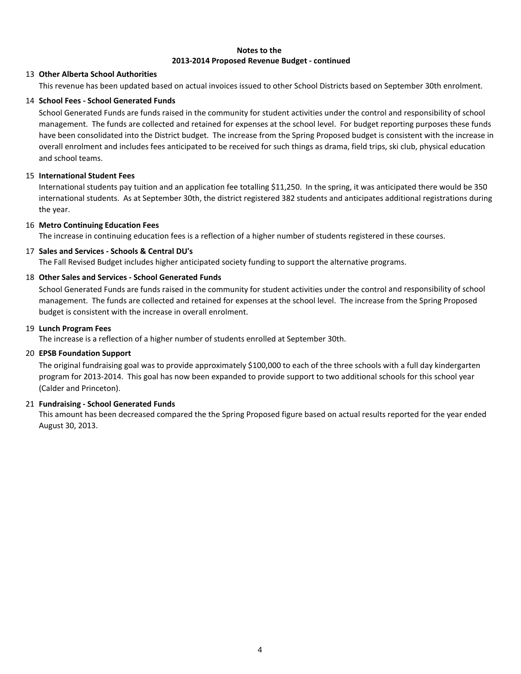#### **Notes to the 2013‐2014 Proposed Revenue Budget ‐ continued**

# 13 **Other Alberta School Authorities**

This revenue has been updated based on actual invoices issued to other School Districts based on September 30th enrolment.

# 14 **School Fees ‐ School Generated Funds**

School Generated Funds are funds raised in the community for student activities under the control and responsibility of school management. The funds are collected and retained for expenses at the school level. For budget reporting purposes these funds have been consolidated into the District budget. The increase from the Spring Proposed budget is consistent with the increase in overall enrolment and includes fees anticipated to be received for such things as drama, field trips, ski club, physical education and school teams.

# 15 **International Student Fees**

International students pay tuition and an application fee totalling \$11,250. In the spring, it was anticipated there would be 350 international students. As at September 30th, the district registered 382 students and anticipates additional registrations during the year.

# 16 **Metro Continuing Education Fees**

The increase in continuing education fees is a reflection of a higher number of students registered in these courses.

# 17 **Sales and Services ‐ Schools & Central DU's**

The Fall Revised Budget includes higher anticipated society funding to support the alternative programs.

# 18 **Other Sales and Services ‐ School Generated Funds**

School Generated Funds are funds raised in the community for student activities under the control and responsibility of school management. The funds are collected and retained for expenses at the school level. The increase from the Spring Proposed budget is consistent with the increase in overall enrolment.

#### 19 **Lunch Program Fees**

The increase is a reflection of a higher number of students enrolled at September 30th.

# 20 **EPSB Foundation Support**

The original fundraising goal was to provide approximately \$100,000 to each of the three schools with a full day kindergarten program for 2013‐2014. This goal has now been expanded to provide support to two additional schools for this school year (Calder and Princeton).

# 21 **Fundraising ‐ School Generated Funds**

This amount has been decreased compared the the Spring Proposed figure based on actual results reported for the year ended August 30, 2013.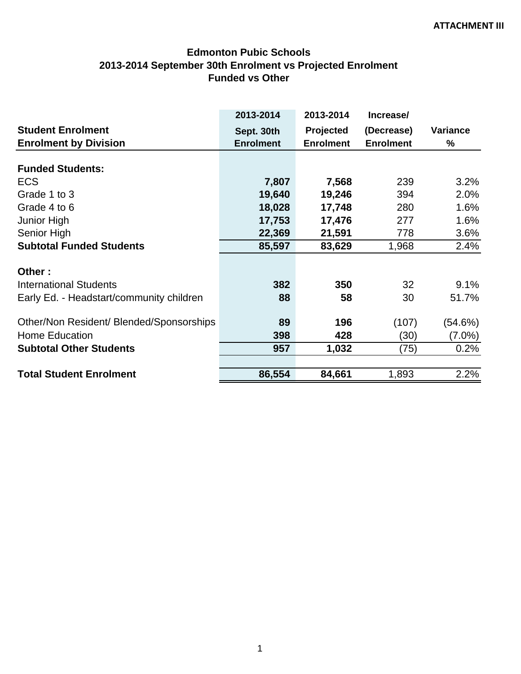# **Edmonton Pubic Schools 2013-2014 September 30th Enrolment vs Projected Enrolment Funded vs Other**

|                                          | 2013-2014        | 2013-2014        | Increase/        |                 |
|------------------------------------------|------------------|------------------|------------------|-----------------|
| <b>Student Enrolment</b>                 | Sept. 30th       | <b>Projected</b> | (Decrease)       | <b>Variance</b> |
| <b>Enrolment by Division</b>             | <b>Enrolment</b> | <b>Enrolment</b> | <b>Enrolment</b> | %               |
|                                          |                  |                  |                  |                 |
| <b>Funded Students:</b>                  |                  |                  |                  |                 |
| <b>ECS</b>                               | 7,807            | 7,568            | 239              | 3.2%            |
| Grade 1 to 3                             | 19,640           | 19,246           | 394              | 2.0%            |
| Grade 4 to 6                             | 18,028           | 17,748           | 280              | 1.6%            |
| Junior High                              | 17,753           | 17,476           | 277              | 1.6%            |
| Senior High                              | 22,369           | 21,591           | 778              | 3.6%            |
| <b>Subtotal Funded Students</b>          | 85,597           | 83,629           | 1,968            | 2.4%            |
|                                          |                  |                  |                  |                 |
| Other:                                   |                  |                  |                  |                 |
| <b>International Students</b>            | 382              | 350              | 32               | 9.1%            |
| Early Ed. - Headstart/community children | 88               | 58               | 30               | 51.7%           |
| Other/Non Resident/ Blended/Sponsorships | 89               | 196              | (107)            | (54.6%)         |
| <b>Home Education</b>                    | 398              | 428              | (30)             | $(7.0\%)$       |
| <b>Subtotal Other Students</b>           | 957              | 1,032            | (75)             | 0.2%            |
|                                          |                  |                  |                  |                 |
| <b>Total Student Enrolment</b>           | 86,554           | 84,661           | 1,893            | 2.2%            |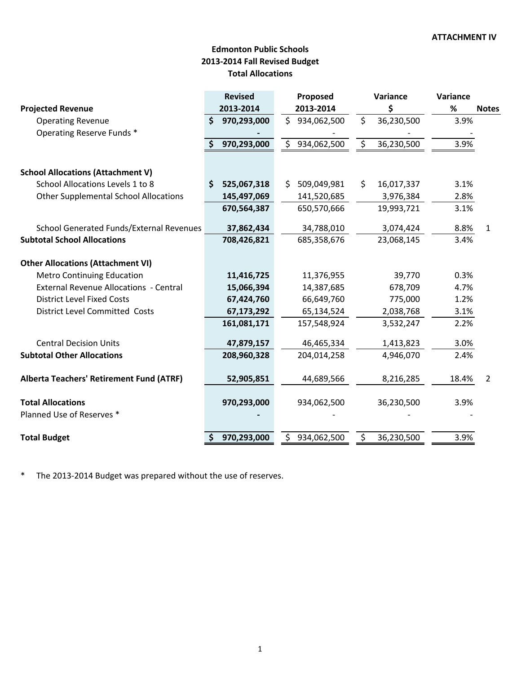# **Edmonton Public Schools 2013‐2014 Fall Revised Budget Total Allocations**

|                                                 |    | <b>Revised</b> |    | Proposed      |    | Variance   | Variance |                |
|-------------------------------------------------|----|----------------|----|---------------|----|------------|----------|----------------|
| <b>Projected Revenue</b>                        |    | 2013-2014      |    | 2013-2014     | \$ |            | $\%$     | <b>Notes</b>   |
| <b>Operating Revenue</b>                        | \$ | 970,293,000    |    | \$934,062,500 | \$ | 36,230,500 | 3.9%     |                |
| Operating Reserve Funds *                       |    |                |    |               |    |            |          |                |
|                                                 |    | \$970,293,000  |    | \$934,062,500 | \$ | 36,230,500 | 3.9%     |                |
|                                                 |    |                |    |               |    |            |          |                |
| <b>School Allocations (Attachment V)</b>        |    |                |    |               |    |            |          |                |
| School Allocations Levels 1 to 8                | \$ | 525,067,318    | \$ | 509,049,981   | \$ | 16,017,337 | 3.1%     |                |
| <b>Other Supplemental School Allocations</b>    |    | 145,497,069    |    | 141,520,685   |    | 3,976,384  | 2.8%     |                |
|                                                 |    | 670,564,387    |    | 650,570,666   |    | 19,993,721 | 3.1%     |                |
| School Generated Funds/External Revenues        |    | 37,862,434     |    | 34,788,010    |    | 3,074,424  | 8.8%     | $\mathbf{1}$   |
| <b>Subtotal School Allocations</b>              |    | 708,426,821    |    | 685,358,676   |    | 23,068,145 | 3.4%     |                |
|                                                 |    |                |    |               |    |            |          |                |
| <b>Other Allocations (Attachment VI)</b>        |    |                |    |               |    |            |          |                |
| <b>Metro Continuing Education</b>               |    | 11,416,725     |    | 11,376,955    |    | 39,770     | 0.3%     |                |
| <b>External Revenue Allocations - Central</b>   |    | 15,066,394     |    | 14,387,685    |    | 678,709    | 4.7%     |                |
| <b>District Level Fixed Costs</b>               |    | 67,424,760     |    | 66,649,760    |    | 775,000    | 1.2%     |                |
| <b>District Level Committed Costs</b>           |    | 67,173,292     |    | 65,134,524    |    | 2,038,768  | 3.1%     |                |
|                                                 |    | 161,081,171    |    | 157,548,924   |    | 3,532,247  | 2.2%     |                |
| <b>Central Decision Units</b>                   |    | 47,879,157     |    | 46,465,334    |    | 1,413,823  | 3.0%     |                |
| <b>Subtotal Other Allocations</b>               |    | 208,960,328    |    | 204,014,258   |    | 4,946,070  | 2.4%     |                |
| <b>Alberta Teachers' Retirement Fund (ATRF)</b> |    | 52,905,851     |    | 44,689,566    |    | 8,216,285  | 18.4%    | $\overline{2}$ |
|                                                 |    |                |    |               |    |            |          |                |
| <b>Total Allocations</b>                        |    | 970,293,000    |    | 934,062,500   |    | 36,230,500 | 3.9%     |                |
| Planned Use of Reserves *                       |    |                |    |               |    |            |          |                |
| <b>Total Budget</b>                             |    | 970,293,000    | Ś  | 934,062,500   | \$ | 36,230,500 | 3.9%     |                |
|                                                 |    |                |    |               |    |            |          |                |

\* The 2013‐2014 Budget was prepared without the use of reserves.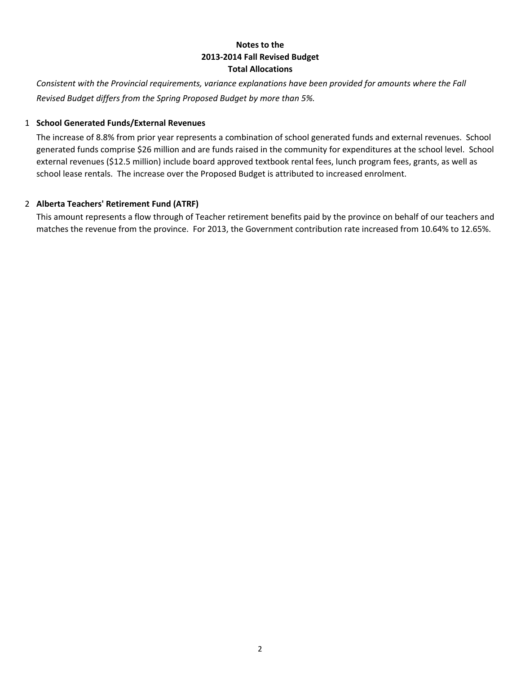# **Notes to the 2013‐2014 Fall Revised Budget Total Allocations**

*Consistent with the Provincial requirements, variance explanations have been provided for amounts where the Fall Revised Budget differs from the Spring Proposed Budget by more than 5%.*

# 1 **School Generated Funds/External Revenues**

The increase of 8.8% from prior year represents a combination of school generated funds and external revenues. School generated funds comprise \$26 million and are funds raised in the community for expenditures at the school level. School external revenues (\$12.5 million) include board approved textbook rental fees, lunch program fees, grants, as well as school lease rentals. The increase over the Proposed Budget is attributed to increased enrolment.

# 2 **Alberta Teachers' Retirement Fund (ATRF)**

This amount represents a flow through of Teacher retirement benefits paid by the province on behalf of our teachers and matches the revenue from the province. For 2013, the Government contribution rate increased from 10.64% to 12.65%.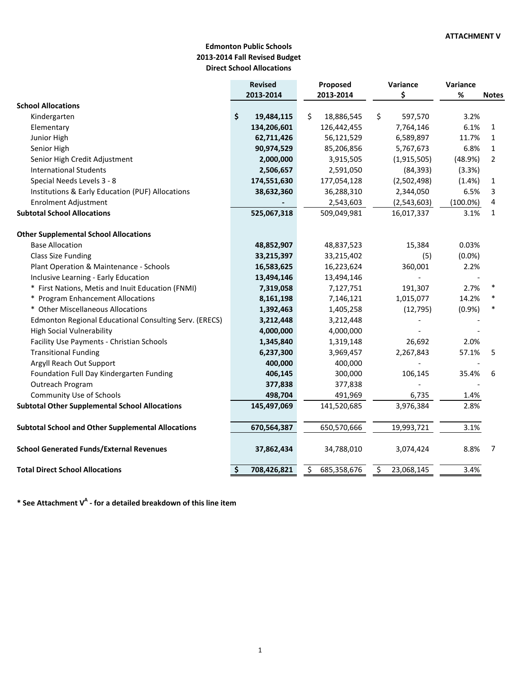# **Edmonton Public Schools 2013‐2014 Fall Revised Budget Direct School Allocations**

|                                                             | <b>Revised</b>    | Proposed          | Variance         | Variance    |                |
|-------------------------------------------------------------|-------------------|-------------------|------------------|-------------|----------------|
|                                                             | 2013-2014         | 2013-2014         | \$               | %           | <b>Notes</b>   |
| <b>School Allocations</b>                                   |                   |                   |                  |             |                |
| Kindergarten                                                | \$<br>19,484,115  | \$<br>18,886,545  | \$<br>597,570    | 3.2%        |                |
| Elementary                                                  | 134,206,601       | 126,442,455       | 7,764,146        | 6.1%        | $\mathbf{1}$   |
| Junior High                                                 | 62,711,426        | 56,121,529        | 6,589,897        | 11.7%       | $\mathbf{1}$   |
| Senior High                                                 | 90,974,529        | 85,206,856        | 5,767,673        | 6.8%        | $\mathbf{1}$   |
| Senior High Credit Adjustment                               | 2,000,000         | 3,915,505         | (1,915,505)      | (48.9%)     | $\overline{2}$ |
| <b>International Students</b>                               | 2,506,657         | 2,591,050         | (84, 393)        | (3.3%)      |                |
| Special Needs Levels 3 - 8                                  | 174,551,630       | 177,054,128       | (2,502,498)      | (1.4%)      | 1              |
| <b>Institutions &amp; Early Education (PUF) Allocations</b> | 38,632,360        | 36,288,310        | 2,344,050        | 6.5%        | 3              |
| <b>Enrolment Adjustment</b>                                 |                   | 2,543,603         | (2,543,603)      | $(100.0\%)$ | 4              |
| <b>Subtotal School Allocations</b>                          | 525,067,318       | 509,049,981       | 16,017,337       | 3.1%        | $\mathbf{1}$   |
| <b>Other Supplemental School Allocations</b>                |                   |                   |                  |             |                |
| <b>Base Allocation</b>                                      | 48,852,907        | 48,837,523        | 15,384           | 0.03%       |                |
| <b>Class Size Funding</b>                                   | 33,215,397        | 33,215,402        | (5)              | (0.0%       |                |
| Plant Operation & Maintenance - Schools                     | 16,583,625        | 16,223,624        | 360,001          | 2.2%        |                |
| Inclusive Learning - Early Education                        | 13,494,146        | 13,494,146        |                  |             |                |
| * First Nations, Metis and Inuit Education (FNMI)           | 7,319,058         | 7,127,751         | 191,307          | 2.7%        | $\ast$         |
| * Program Enhancement Allocations                           | 8,161,198         | 7,146,121         | 1,015,077        | 14.2%       |                |
| * Other Miscellaneous Allocations                           | 1,392,463         | 1,405,258         | (12, 795)        | (0.9%       | $\ast$         |
| Edmonton Regional Educational Consulting Serv. (ERECS)      | 3,212,448         | 3,212,448         |                  |             |                |
| <b>High Social Vulnerability</b>                            | 4,000,000         | 4,000,000         |                  |             |                |
| Facility Use Payments - Christian Schools                   | 1,345,840         | 1,319,148         | 26,692           | 2.0%        |                |
| <b>Transitional Funding</b>                                 | 6,237,300         | 3,969,457         | 2,267,843        | 57.1%       | 5              |
| Argyll Reach Out Support                                    | 400,000           | 400,000           |                  |             |                |
| Foundation Full Day Kindergarten Funding                    | 406,145           | 300,000           | 106,145          | 35.4%       | 6              |
| Outreach Program                                            | 377,838           | 377,838           |                  |             |                |
| Community Use of Schools                                    | 498,704           | 491,969           | 6,735            | 1.4%        |                |
| <b>Subtotal Other Supplemental School Allocations</b>       | 145,497,069       | 141,520,685       | 3,976,384        | 2.8%        |                |
| <b>Subtotal School and Other Supplemental Allocations</b>   | 670,564,387       | 650,570,666       | 19,993,721       | 3.1%        |                |
| <b>School Generated Funds/External Revenues</b>             | 37,862,434        | 34,788,010        | 3,074,424        | 8.8%        | 7              |
| <b>Total Direct School Allocations</b>                      | \$<br>708,426,821 | \$<br>685,358,676 | \$<br>23,068,145 | 3.4%        |                |

**\* See Attachment V<sup>A</sup> ‐ for a detailed breakdown of this line item**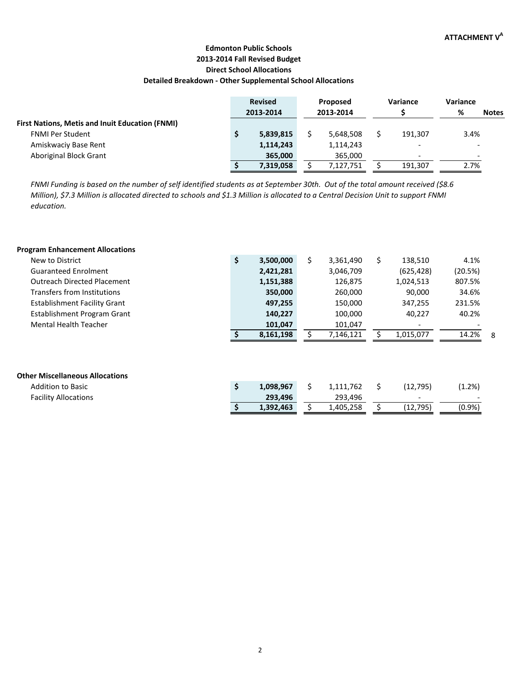# **Direct School Allocations Detailed Breakdown ‐ Other Supplemental School Allocations Edmonton Public Schools 2013‐2014 Fall Revised Budget**

|                                                        | <b>Revised</b> |  | Proposed  |  | Variance                 | Variance |                          |
|--------------------------------------------------------|----------------|--|-----------|--|--------------------------|----------|--------------------------|
|                                                        | 2013-2014      |  | 2013-2014 |  |                          | %        | <b>Notes</b>             |
| <b>First Nations, Metis and Inuit Education (FNMI)</b> |                |  |           |  |                          |          |                          |
| <b>FNMI Per Student</b>                                | 5,839,815      |  | 5,648,508 |  | 191.307                  | 3.4%     |                          |
| Amiskwaciy Base Rent                                   | 1,114,243      |  | 1,114,243 |  | $\overline{\phantom{a}}$ |          | $\overline{\phantom{0}}$ |
| Aboriginal Block Grant                                 | 365,000        |  | 365.000   |  | $\overline{\phantom{a}}$ |          | $\overline{\phantom{0}}$ |
|                                                        | 7,319,058      |  | 7,127,751 |  | 191,307                  | 2.7%     |                          |

FNMI Funding is based on the number of self identified students as at September 30th. Out of the total amount received (\$8.6 Million), \$7.3 Million is allocated directed to schools and \$1.3 Million is allocated to a Central Decision Unit to support FNMI *education.*

# **Program Enhancement Allocations** New to District **\$ 3,500,000** \$ 3,361,490 \$ 138,510 4.1% Guaranteed Enrolment  **2,421,281** 3,046,709 (625,428) (20.5%) Outreach Directed Placement **1,151,388 1**,151,388  **126,875** 1,024,513 807.5% Transfers from Institutions  **350,000** 260,000 90,000 34.6% Establishment Facility Grant **1997,255 150,000 150,000 347,255** 231.5% Establishment Program Grant **140,227 100,000 100,227 100,000 100,227 100,000 100,000 100,000 10.2%** Mental Health Teacher  **101,047** ‐ 101,047 ‐ **\$ 8,161,198** \$ 7,146,121 \$ 1,015,077 14.2% 8 **Other Miscellaneous Allocations** Addition to Basic **\$ 1,098,967** \$ 1,111,762 \$ (12,795) (1.2%) Facility Allocations  **293,496** ‐ 293,496 ‐  $\begin{array}{cccc} \textsf{5} & \textsf{1,392,463} & \textsf{5} & \textsf{1,405,258} & \textsf{5} & \textsf{5} & \textsf{5} & \textsf{5} & \textsf{5} & \textsf{5} \end{array}$  (0.9%)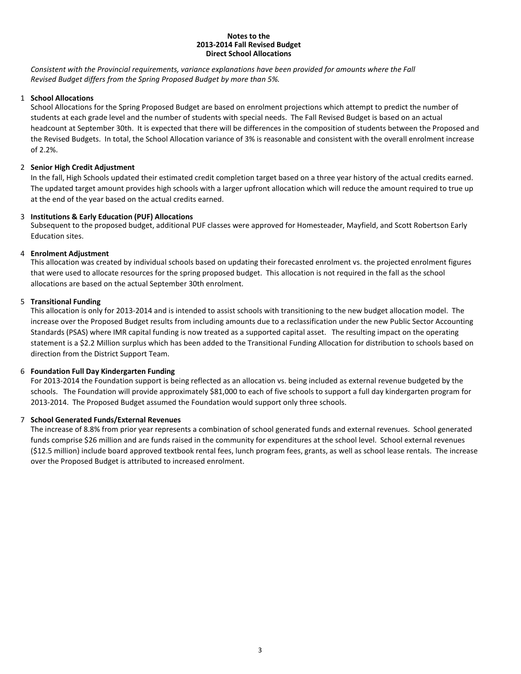#### **Notes to the 2013‐2014 Fall Revised Budget Direct School Allocations**

*Consistent with the Provincial requirements, variance explanations have been provided for amounts where the Fall Revised Budget differs from the Spring Proposed Budget by more than 5%.*

#### 1 **School Allocations**

School Allocations for the Spring Proposed Budget are based on enrolment projections which attempt to predict the number of students at each grade level and the number of students with special needs. The Fall Revised Budget is based on an actual headcount at September 30th. It is expected that there will be differences in the composition of students between the Proposed and the Revised Budgets. In total, the School Allocation variance of 3% is reasonable and consistent with the overall enrolment increase of 2.2%.

#### 2 **Senior High Credit Adjustment**

In the fall, High Schools updated their estimated credit completion target based on a three year history of the actual credits earned. The updated target amount provides high schools with a larger upfront allocation which will reduce the amount required to true up at the end of the year based on the actual credits earned.

#### 3 **Institutions & Early Education (PUF) Allocations**

Subsequent to the proposed budget, additional PUF classes were approved for Homesteader, Mayfield, and Scott Robertson Early Education sites.

#### 4 **Enrolment Adjustment**

This allocation was created by individual schools based on updating their forecasted enrolment vs. the projected enrolment figures that were used to allocate resources for the spring proposed budget. This allocation is not required in the fall as the school allocations are based on the actual September 30th enrolment.

#### 5 **Transitional Funding**

This allocation is only for 2013‐2014 and is intended to assist schools with transitioning to the new budget allocation model. The increase over the Proposed Budget results from including amounts due to a reclassification under the new Public Sector Accounting Standards (PSAS) where IMR capital funding is now treated as a supported capital asset. The resulting impact on the operating statement is a \$2.2 Million surplus which has been added to the Transitional Funding Allocation for distribution to schools based on direction from the District Support Team.

#### 6 **Foundation Full Day Kindergarten Funding**

For 2013‐2014 the Foundation support is being reflected as an allocation vs. being included as external revenue budgeted by the schools. The Foundation will provide approximately \$81,000 to each of five schools to support a full day kindergarten program for 2013-2014. The Proposed Budget assumed the Foundation would support only three schools.

#### 7 **School Generated Funds/External Revenues**

The increase of 8.8% from prior year represents a combination of school generated funds and external revenues. School generated funds comprise \$26 million and are funds raised in the community for expenditures at the school level. School external revenues (\$12.5 million) include board approved textbook rental fees, lunch program fees, grants, as well as school lease rentals. The increase over the Proposed Budget is attributed to increased enrolment.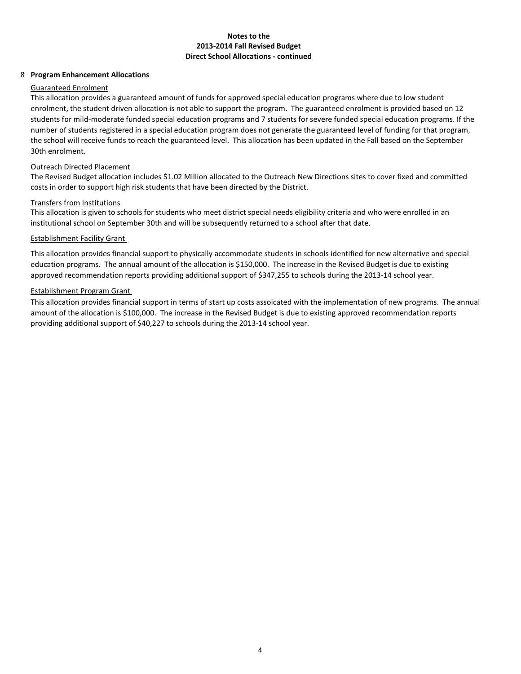#### **Notes to the 2013‐2014 Fall Revised Budget Direct School Allocations ‐ continued**

#### 8 **Program Enhancement Allocations**

#### Guaranteed Enrolment

This allocation provides a guaranteed amount of funds for approved special education programs where due to low student enrolment, the student driven allocation is not able to support the program. The guaranteed enrolment is provided based on 12 students for mild‐moderate funded special education programs and 7 students for severe funded special education programs. If the number of students registered in a special education program does not generate the guaranteed level of funding for that program, the school will receive funds to reach the guaranteed level. This allocation has been updated in the Fall based on the September 30th enrolment.

#### Outreach Directed Placement

The Revised Budget allocation includes \$1.02 Million allocated to the Outreach New Directions sites to cover fixed and committed costs in order to support high risk students that have been directed by the District.

#### Transfers from Institutions

This allocation is given to schools for students who meet district special needs eligibility criteria and who were enrolled in an institutional school on September 30th and will be subsequently returned to a school after that date.

#### Establishment Facility Grant

This allocation provides financial support to physically accommodate students in schools identified for new alternative and special education programs. The annual amount of the allocation is \$150,000. The increase in the Revised Budget is due to existing approved recommendation reports providing additional support of \$347,255 to schools during the 2013-14 school year.

#### Establishment Program Grant

This allocation provides financial support in terms of start up costs assoicated with the implementation of new programs. The annual amount of the allocation is \$100,000. The increase in the Revised Budget is due to existing approved recommendation reports providing additional support of \$40,227 to schools during the 2013‐14 school year.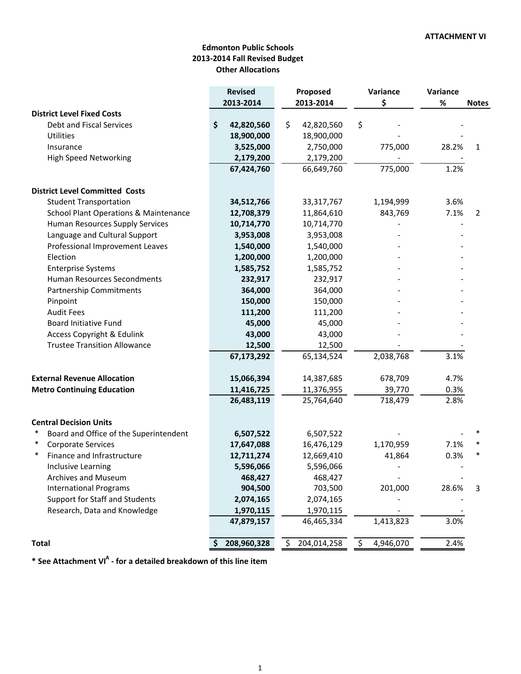# **Edmonton Public Schools 2013‐2014 Fall Revised Budget Other Allocations**

|                                                  | <b>Revised</b>   | Proposed          | Variance        | Variance |                |
|--------------------------------------------------|------------------|-------------------|-----------------|----------|----------------|
|                                                  | 2013-2014        | 2013-2014         | \$              | $\%$     | <b>Notes</b>   |
| <b>District Level Fixed Costs</b>                |                  |                   |                 |          |                |
| Debt and Fiscal Services                         | \$<br>42,820,560 | \$<br>42,820,560  | \$              |          |                |
| <b>Utilities</b>                                 | 18,900,000       | 18,900,000        |                 |          |                |
| Insurance                                        | 3,525,000        | 2,750,000         | 775,000         | 28.2%    | $\mathbf{1}$   |
| <b>High Speed Networking</b>                     | 2,179,200        | 2,179,200         |                 |          |                |
|                                                  | 67,424,760       | 66,649,760        | 775,000         | 1.2%     |                |
| <b>District Level Committed Costs</b>            |                  |                   |                 |          |                |
| <b>Student Transportation</b>                    | 34,512,766       | 33, 317, 767      | 1,194,999       | 3.6%     |                |
| School Plant Operations & Maintenance            | 12,708,379       | 11,864,610        | 843,769         | 7.1%     | $\overline{2}$ |
| Human Resources Supply Services                  | 10,714,770       | 10,714,770        |                 |          |                |
| Language and Cultural Support                    | 3,953,008        | 3,953,008         |                 |          |                |
| Professional Improvement Leaves                  | 1,540,000        | 1,540,000         |                 |          |                |
| Election                                         | 1,200,000        | 1,200,000         |                 |          |                |
| <b>Enterprise Systems</b>                        | 1,585,752        | 1,585,752         |                 |          |                |
| <b>Human Resources Secondments</b>               | 232,917          | 232,917           |                 |          |                |
| <b>Partnership Commitments</b>                   | 364,000          | 364,000           |                 |          |                |
| Pinpoint                                         | 150,000          | 150,000           |                 |          |                |
| <b>Audit Fees</b>                                | 111,200          | 111,200           |                 |          |                |
| <b>Board Initiative Fund</b>                     | 45,000           | 45,000            |                 |          |                |
| <b>Access Copyright &amp; Edulink</b>            | 43,000           | 43,000            |                 |          |                |
| <b>Trustee Transition Allowance</b>              | 12,500           | 12,500            |                 |          |                |
|                                                  | 67,173,292       | 65,134,524        | 2,038,768       | 3.1%     |                |
|                                                  |                  |                   |                 |          |                |
| <b>External Revenue Allocation</b>               | 15,066,394       | 14,387,685        | 678,709         | 4.7%     |                |
| <b>Metro Continuing Education</b>                | 11,416,725       | 11,376,955        | 39,770          | 0.3%     |                |
|                                                  | 26,483,119       | 25,764,640        | 718,479         | 2.8%     |                |
| <b>Central Decision Units</b>                    |                  |                   |                 |          |                |
| $\ast$<br>Board and Office of the Superintendent | 6,507,522        | 6,507,522         |                 |          | $\ast$         |
| ∗<br><b>Corporate Services</b>                   | 17,647,088       | 16,476,129        | 1,170,959       | 7.1%     | *              |
| Finance and Infrastructure                       | 12,711,274       | 12,669,410        | 41,864          | 0.3%     |                |
| Inclusive Learning                               | 5,596,066        | 5,596,066         |                 |          |                |
| Archives and Museum                              | 468,427          | 468,427           |                 |          |                |
| <b>International Programs</b>                    | 904,500          | 703,500           | 201,000         | 28.6%    | 3              |
| Support for Staff and Students                   | 2,074,165        | 2,074,165         |                 |          |                |
| Research, Data and Knowledge                     | 1,970,115        | 1,970,115         |                 |          |                |
|                                                  | 47,879,157       | 46,465,334        | 1,413,823       | 3.0%     |                |
| <b>Total</b>                                     | 208,960,328      | \$<br>204,014,258 | 4,946,070<br>\$ | 2.4%     |                |
|                                                  |                  |                   |                 |          |                |

**\* See Attachment VIA ‐ for a detailed breakdown of this line item**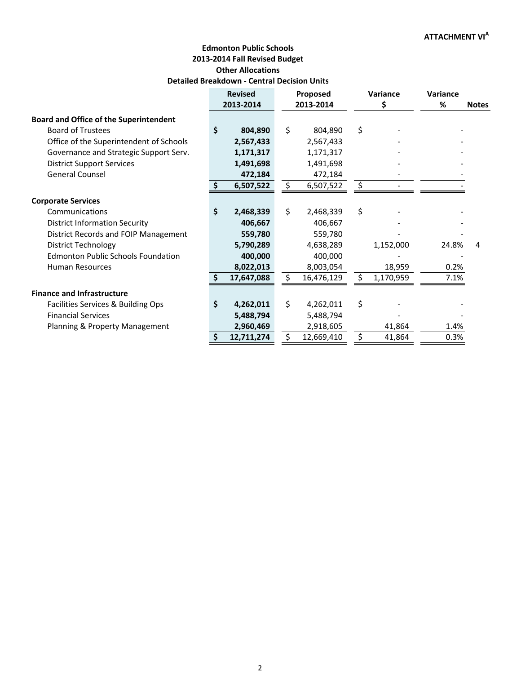# **Edmonton Public Schools 2013‐2014 Fall Revised Budget Detailed Breakdown ‐ Central Decision Units Other Allocations**

|                                               | <b>Revised</b><br>2013-2014 |            | Proposed<br>2013-2014 |            | Variance<br>\$ |           | Variance<br>% | <b>Notes</b> |
|-----------------------------------------------|-----------------------------|------------|-----------------------|------------|----------------|-----------|---------------|--------------|
| <b>Board and Office of the Superintendent</b> |                             |            |                       |            |                |           |               |              |
| <b>Board of Trustees</b>                      | \$                          | 804,890    | \$                    | 804,890    | \$             |           |               |              |
| Office of the Superintendent of Schools       |                             | 2,567,433  |                       | 2,567,433  |                |           |               |              |
| Governance and Strategic Support Serv.        |                             | 1,171,317  |                       | 1,171,317  |                |           |               |              |
| <b>District Support Services</b>              |                             | 1,491,698  |                       | 1,491,698  |                |           |               |              |
| <b>General Counsel</b>                        |                             | 472,184    |                       | 472,184    |                |           |               |              |
|                                               | Ś                           | 6,507,522  | \$                    | 6,507,522  | \$             |           |               |              |
| <b>Corporate Services</b>                     |                             |            |                       |            |                |           |               |              |
| Communications                                | \$                          | 2,468,339  | \$                    | 2,468,339  | \$             |           |               |              |
| <b>District Information Security</b>          |                             | 406,667    |                       | 406,667    |                |           |               |              |
| District Records and FOIP Management          |                             | 559,780    |                       | 559,780    |                |           |               |              |
| <b>District Technology</b>                    |                             | 5,790,289  |                       | 4,638,289  |                | 1,152,000 | 24.8%         | 4            |
| <b>Edmonton Public Schools Foundation</b>     |                             | 400,000    |                       | 400,000    |                |           |               |              |
| <b>Human Resources</b>                        |                             | 8,022,013  |                       | 8,003,054  |                | 18,959    | 0.2%          |              |
|                                               |                             | 17,647,088 | Ś                     | 16,476,129 |                | 1,170,959 | 7.1%          |              |
| <b>Finance and Infrastructure</b>             |                             |            |                       |            |                |           |               |              |
| Facilities Services & Building Ops            | \$                          | 4,262,011  | \$                    | 4,262,011  | \$             |           |               |              |
| <b>Financial Services</b>                     |                             | 5,488,794  |                       | 5,488,794  |                |           |               |              |
| Planning & Property Management                |                             | 2,960,469  |                       | 2,918,605  |                | 41,864    | 1.4%          |              |
|                                               | Ş                           | 12,711,274 |                       | 12,669,410 |                | 41,864    | 0.3%          |              |